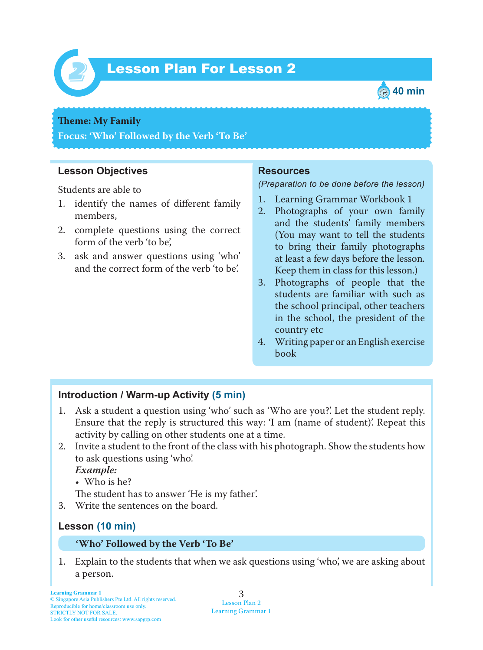

# Lesson Plan For Lesson 2 *2*



#### **Theme:** My Family

**Focus: 'Who' Followed by the Verb 'To Be'**

### **Lesson Objectives**

Students are able to

- 1. identify the names of different family members,
- 2. complete questions using the correct form of the verb 'to be',
- 3. ask and answer questions using 'who' and the correct form of the verb 'to be'.

#### **Resources**

#### *(Preparation to be done before the lesson)*

- 1. Learning Grammar Workbook 1
- 2. Photographs of your own family and the students' family members (You may want to tell the students to bring their family photographs at least a few days before the lesson. Keep them in class for this lesson.)
- 3. Photographs of people that the students are familiar with such as the school principal, other teachers in the school, the president of the country etc
- 4. Writing paper or an English exercise book

### **Introduction / Warm-up Activity (5 min)**

- 1. Ask a student a question using 'who' such as 'Who are you?'. Let the student reply. Ensure that the reply is structured this way: 'I am (name of student)'. Repeat this activity by calling on other students one at a time.
- 2. Invite a student to the front of the class with his photograph. Show the students how to ask questions using 'who'.

 *Example:*

• Who is he?

The student has to answer 'He is my father'.

3. Write the sentences on the board.

### **Lesson (10 min)**

#### **'Who' Followed by the Verb 'To Be'**

1. Explain to the students that when we ask questions using 'who', we are asking about a person.